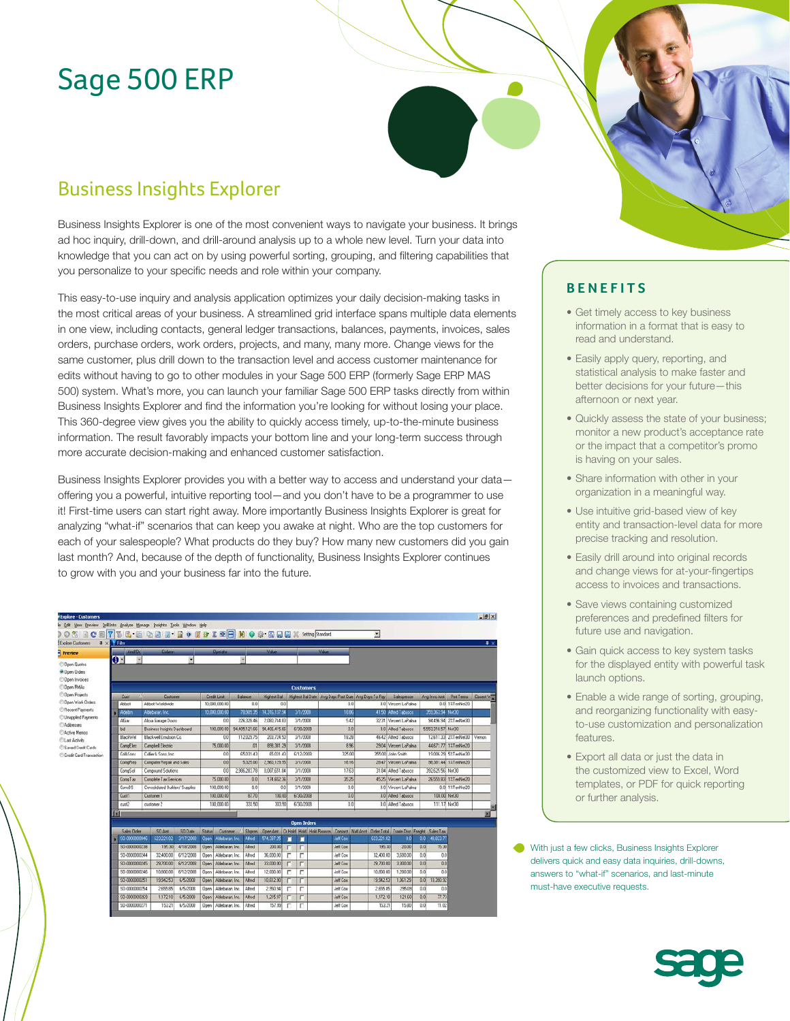# Sage 500 ERP

# Business Insights Explorer

Business Insights Explorer is one of the most convenient ways to navigate your business. It brings ad hoc inquiry, drill-down, and drill-around analysis up to a whole new level. Turn your data into knowledge that you can act on by using powerful sorting, grouping, and filtering capabilities that you personalize to your specific needs and role within your company.

This easy-to-use inquiry and analysis application optimizes your daily decision-making tasks in the most critical areas of your business. A streamlined grid interface spans multiple data elements in one view, including contacts, general ledger transactions, balances, payments, invoices, sales orders, purchase orders, work orders, projects, and many, many more. Change views for the same customer, plus drill down to the transaction level and access customer maintenance for edits without having to go to other modules in your Sage 500 ERP (formerly Sage ERP MAS 500) system. What's more, you can launch your familiar Sage 500 ERP tasks directly from within Business Insights Explorer and find the information you're looking for without losing your place. This 360-degree view gives you the ability to quickly access timely, up-to-the-minute business information. The result favorably impacts your bottom line and your long-term success through more accurate decision-making and enhanced customer satisfaction.

Business Insights Explorer provides you with a better way to access and understand your data offering you a powerful, intuitive reporting tool—and you don't have to be a programmer to use it! First-time users can start right away. More importantly Business Insights Explorer is great for analyzing "what-if" scenarios that can keep you awake at night. Who are the top customers for each of your salespeople? What products do they buy? How many new customers did you gain last month? And, because of the depth of functionality, Business Insights Explorer continues to grow with you and your business far into the future.

| # X Film<br><b>Column</b><br><b>Maker</b><br><b>MAG</b><br>And/Ur.<br><b>Doesdox</b><br><b>Preview</b><br>$\mathbf{0}$ -<br><b>Open Quotes</b><br>Dpen Drdets<br><b>Open Invoices</b><br><b>Open RMAs</b><br><b>Distomers</b><br><b>Open Projects</b><br>Customer<br><b>Credit Land</b><br>Highest Bal Date: Ang Days Past Due   Ang Days To Pay<br>Salespesson<br><b>Pat Tema</b><br>Closest W<br>Cust<br><b>Balance</b><br>Highest Ball<br>Avg Imro Ant<br><b>Qpen Work Orders</b><br>0.0 12TenNet20<br>0.0 Vincent LoPaina<br>Abbott<br>Abbott Worldwide<br>10.000.000.00<br>00<br>001<br>00<br>Recent Payments<br>359.363.94 NH30<br>78,989.35<br>14.316,137.94<br>3/1/2009<br>18.66<br>41.50 Atted Tabasco<br>Aldebaran, Inc.<br>10,000,000.00<br>Aktebrn<br>Unapplied Payments<br>2090.744.83<br>542<br>94.496.94 2%TerNet30<br>226.328.46<br>3/1/2008<br>32.31 Vercent LaPalma<br><b>Alix</b><br>Alicia Garage Doore<br>001<br>Addresses<br>94.406.415.66<br>Business Insights Dashboard<br>94,405,121.66<br>6/30/2008<br>00<br>0.0 Afred Tabarco<br>5.553.318.57 Net30<br>100,000.00<br>bid<br>18.28<br><b>Blackwell Emulsion Co.</b><br>112,023.75<br>203,724.50<br>46.42 Allind Tabasco<br>12.617.33 2%TenNet3D<br><b>BlackWell</b><br>3/1/2008<br>Vernon<br>0 <sub>0</sub><br>898.381.29<br>3/1/2008<br>8%<br>29.04 Vincent LaPaina<br>44.671.77 12:TenNet20<br><b>Campbel Electric</b><br>75,000.00<br>m<br><b>CampElno</b><br>325.00<br>65.031.43<br>65.031.43<br>6/12/2008<br>355.00 John Smith<br>19:006.29 51/TenNet30<br>Collier & Sons Inc.<br>CollsSons<br>00<br>Credit Card Transaction<br>2,960,129.95<br>98 381 44 12 TerrNet20<br>Computer Repair and Sales<br>00<br>532500<br>3/1/2008<br>18.16<br>28.47 Vincent LaPaina<br>CompRep<br>2.986.283.78<br>8.087.651.84<br>17.63<br>392.625.56 Net30<br>00<br>3/1/2008<br>31.84 Alfred Tabasco<br>CompSol<br>Compound Solutions<br>Complete Tax Services<br>75,000.00<br>26.559.83 1%TerNet20<br>CompTax<br>174,852.36<br>3/1/2008<br>35.25<br>45.25 Vincent LaPalma<br>00<br>0.0 1%TerNet20<br>ConsBS<br>Consolidated Builders' Supplies<br>0.0<br>3/1/2008<br>0.0 Vincent LaPalma<br>100,000.00<br>0.01<br>0.01<br>100 000 00<br>87.70<br>6/30/2008<br>100.00 Net30<br>100.00<br>0.0<br>0.0 Afred Tabasco<br>CustT<br>Customer 1<br>100 000 00<br>333 50<br>333.50<br>6/30/2008<br>0.0 Alfred Tabasco<br>111.17 Net30<br>0.01<br>cut2<br>customer 2 | <b>glore Customers</b>                                     |  |  |  |  |  |  |  |  | 븨 |  |  |  | $9 \times$ |  |  |  |
|---------------------------------------------------------------------------------------------------------------------------------------------------------------------------------------------------------------------------------------------------------------------------------------------------------------------------------------------------------------------------------------------------------------------------------------------------------------------------------------------------------------------------------------------------------------------------------------------------------------------------------------------------------------------------------------------------------------------------------------------------------------------------------------------------------------------------------------------------------------------------------------------------------------------------------------------------------------------------------------------------------------------------------------------------------------------------------------------------------------------------------------------------------------------------------------------------------------------------------------------------------------------------------------------------------------------------------------------------------------------------------------------------------------------------------------------------------------------------------------------------------------------------------------------------------------------------------------------------------------------------------------------------------------------------------------------------------------------------------------------------------------------------------------------------------------------------------------------------------------------------------------------------------------------------------------------------------------------------------------------------------------------------------------------------------------------------------------------------------------------------------------------------------------------------------------------------------------------------------------------------------------------------------------------------------------------------------------------------------------------------------------------------------------------------|------------------------------------------------------------|--|--|--|--|--|--|--|--|---|--|--|--|------------|--|--|--|
|                                                                                                                                                                                                                                                                                                                                                                                                                                                                                                                                                                                                                                                                                                                                                                                                                                                                                                                                                                                                                                                                                                                                                                                                                                                                                                                                                                                                                                                                                                                                                                                                                                                                                                                                                                                                                                                                                                                                                                                                                                                                                                                                                                                                                                                                                                                                                                                                                           |                                                            |  |  |  |  |  |  |  |  |   |  |  |  |            |  |  |  |
|                                                                                                                                                                                                                                                                                                                                                                                                                                                                                                                                                                                                                                                                                                                                                                                                                                                                                                                                                                                                                                                                                                                                                                                                                                                                                                                                                                                                                                                                                                                                                                                                                                                                                                                                                                                                                                                                                                                                                                                                                                                                                                                                                                                                                                                                                                                                                                                                                           |                                                            |  |  |  |  |  |  |  |  |   |  |  |  |            |  |  |  |
|                                                                                                                                                                                                                                                                                                                                                                                                                                                                                                                                                                                                                                                                                                                                                                                                                                                                                                                                                                                                                                                                                                                                                                                                                                                                                                                                                                                                                                                                                                                                                                                                                                                                                                                                                                                                                                                                                                                                                                                                                                                                                                                                                                                                                                                                                                                                                                                                                           |                                                            |  |  |  |  |  |  |  |  |   |  |  |  |            |  |  |  |
|                                                                                                                                                                                                                                                                                                                                                                                                                                                                                                                                                                                                                                                                                                                                                                                                                                                                                                                                                                                                                                                                                                                                                                                                                                                                                                                                                                                                                                                                                                                                                                                                                                                                                                                                                                                                                                                                                                                                                                                                                                                                                                                                                                                                                                                                                                                                                                                                                           |                                                            |  |  |  |  |  |  |  |  |   |  |  |  |            |  |  |  |
|                                                                                                                                                                                                                                                                                                                                                                                                                                                                                                                                                                                                                                                                                                                                                                                                                                                                                                                                                                                                                                                                                                                                                                                                                                                                                                                                                                                                                                                                                                                                                                                                                                                                                                                                                                                                                                                                                                                                                                                                                                                                                                                                                                                                                                                                                                                                                                                                                           |                                                            |  |  |  |  |  |  |  |  |   |  |  |  |            |  |  |  |
|                                                                                                                                                                                                                                                                                                                                                                                                                                                                                                                                                                                                                                                                                                                                                                                                                                                                                                                                                                                                                                                                                                                                                                                                                                                                                                                                                                                                                                                                                                                                                                                                                                                                                                                                                                                                                                                                                                                                                                                                                                                                                                                                                                                                                                                                                                                                                                                                                           |                                                            |  |  |  |  |  |  |  |  |   |  |  |  |            |  |  |  |
|                                                                                                                                                                                                                                                                                                                                                                                                                                                                                                                                                                                                                                                                                                                                                                                                                                                                                                                                                                                                                                                                                                                                                                                                                                                                                                                                                                                                                                                                                                                                                                                                                                                                                                                                                                                                                                                                                                                                                                                                                                                                                                                                                                                                                                                                                                                                                                                                                           |                                                            |  |  |  |  |  |  |  |  |   |  |  |  |            |  |  |  |
|                                                                                                                                                                                                                                                                                                                                                                                                                                                                                                                                                                                                                                                                                                                                                                                                                                                                                                                                                                                                                                                                                                                                                                                                                                                                                                                                                                                                                                                                                                                                                                                                                                                                                                                                                                                                                                                                                                                                                                                                                                                                                                                                                                                                                                                                                                                                                                                                                           |                                                            |  |  |  |  |  |  |  |  |   |  |  |  |            |  |  |  |
|                                                                                                                                                                                                                                                                                                                                                                                                                                                                                                                                                                                                                                                                                                                                                                                                                                                                                                                                                                                                                                                                                                                                                                                                                                                                                                                                                                                                                                                                                                                                                                                                                                                                                                                                                                                                                                                                                                                                                                                                                                                                                                                                                                                                                                                                                                                                                                                                                           |                                                            |  |  |  |  |  |  |  |  |   |  |  |  |            |  |  |  |
|                                                                                                                                                                                                                                                                                                                                                                                                                                                                                                                                                                                                                                                                                                                                                                                                                                                                                                                                                                                                                                                                                                                                                                                                                                                                                                                                                                                                                                                                                                                                                                                                                                                                                                                                                                                                                                                                                                                                                                                                                                                                                                                                                                                                                                                                                                                                                                                                                           |                                                            |  |  |  |  |  |  |  |  |   |  |  |  |            |  |  |  |
|                                                                                                                                                                                                                                                                                                                                                                                                                                                                                                                                                                                                                                                                                                                                                                                                                                                                                                                                                                                                                                                                                                                                                                                                                                                                                                                                                                                                                                                                                                                                                                                                                                                                                                                                                                                                                                                                                                                                                                                                                                                                                                                                                                                                                                                                                                                                                                                                                           | <b>Active Memos</b><br>Last Activity<br>Saved Credit Cards |  |  |  |  |  |  |  |  |   |  |  |  |            |  |  |  |
|                                                                                                                                                                                                                                                                                                                                                                                                                                                                                                                                                                                                                                                                                                                                                                                                                                                                                                                                                                                                                                                                                                                                                                                                                                                                                                                                                                                                                                                                                                                                                                                                                                                                                                                                                                                                                                                                                                                                                                                                                                                                                                                                                                                                                                                                                                                                                                                                                           |                                                            |  |  |  |  |  |  |  |  |   |  |  |  |            |  |  |  |
|                                                                                                                                                                                                                                                                                                                                                                                                                                                                                                                                                                                                                                                                                                                                                                                                                                                                                                                                                                                                                                                                                                                                                                                                                                                                                                                                                                                                                                                                                                                                                                                                                                                                                                                                                                                                                                                                                                                                                                                                                                                                                                                                                                                                                                                                                                                                                                                                                           |                                                            |  |  |  |  |  |  |  |  |   |  |  |  |            |  |  |  |
|                                                                                                                                                                                                                                                                                                                                                                                                                                                                                                                                                                                                                                                                                                                                                                                                                                                                                                                                                                                                                                                                                                                                                                                                                                                                                                                                                                                                                                                                                                                                                                                                                                                                                                                                                                                                                                                                                                                                                                                                                                                                                                                                                                                                                                                                                                                                                                                                                           |                                                            |  |  |  |  |  |  |  |  |   |  |  |  |            |  |  |  |
|                                                                                                                                                                                                                                                                                                                                                                                                                                                                                                                                                                                                                                                                                                                                                                                                                                                                                                                                                                                                                                                                                                                                                                                                                                                                                                                                                                                                                                                                                                                                                                                                                                                                                                                                                                                                                                                                                                                                                                                                                                                                                                                                                                                                                                                                                                                                                                                                                           |                                                            |  |  |  |  |  |  |  |  |   |  |  |  |            |  |  |  |
|                                                                                                                                                                                                                                                                                                                                                                                                                                                                                                                                                                                                                                                                                                                                                                                                                                                                                                                                                                                                                                                                                                                                                                                                                                                                                                                                                                                                                                                                                                                                                                                                                                                                                                                                                                                                                                                                                                                                                                                                                                                                                                                                                                                                                                                                                                                                                                                                                           |                                                            |  |  |  |  |  |  |  |  |   |  |  |  |            |  |  |  |
|                                                                                                                                                                                                                                                                                                                                                                                                                                                                                                                                                                                                                                                                                                                                                                                                                                                                                                                                                                                                                                                                                                                                                                                                                                                                                                                                                                                                                                                                                                                                                                                                                                                                                                                                                                                                                                                                                                                                                                                                                                                                                                                                                                                                                                                                                                                                                                                                                           |                                                            |  |  |  |  |  |  |  |  |   |  |  |  |            |  |  |  |
|                                                                                                                                                                                                                                                                                                                                                                                                                                                                                                                                                                                                                                                                                                                                                                                                                                                                                                                                                                                                                                                                                                                                                                                                                                                                                                                                                                                                                                                                                                                                                                                                                                                                                                                                                                                                                                                                                                                                                                                                                                                                                                                                                                                                                                                                                                                                                                                                                           |                                                            |  |  |  |  |  |  |  |  |   |  |  |  |            |  |  |  |
|                                                                                                                                                                                                                                                                                                                                                                                                                                                                                                                                                                                                                                                                                                                                                                                                                                                                                                                                                                                                                                                                                                                                                                                                                                                                                                                                                                                                                                                                                                                                                                                                                                                                                                                                                                                                                                                                                                                                                                                                                                                                                                                                                                                                                                                                                                                                                                                                                           |                                                            |  |  |  |  |  |  |  |  |   |  |  |  |            |  |  |  |
|                                                                                                                                                                                                                                                                                                                                                                                                                                                                                                                                                                                                                                                                                                                                                                                                                                                                                                                                                                                                                                                                                                                                                                                                                                                                                                                                                                                                                                                                                                                                                                                                                                                                                                                                                                                                                                                                                                                                                                                                                                                                                                                                                                                                                                                                                                                                                                                                                           |                                                            |  |  |  |  |  |  |  |  |   |  |  |  |            |  |  |  |

| <b><i>DOMESTIC LANGE</i></b> | <b>DUI MER</b> |                |                                  | <b>TANSTERS</b> |                                                                                                                                                                                                       |                                                                     |   |                                                                                                             |                 |           |          |                       |                                                                                |
|------------------------------|----------------|----------------|----------------------------------|-----------------|-------------------------------------------------------------------------------------------------------------------------------------------------------------------------------------------------------|---------------------------------------------------------------------|---|-------------------------------------------------------------------------------------------------------------|-----------------|-----------|----------|-----------------------|--------------------------------------------------------------------------------|
|                              |                |                |                                  |                 |                                                                                                                                                                                                       |                                                                     |   |                                                                                                             |                 |           |          |                       | 49, 823 77                                                                     |
| \$0.000000228                |                | 4/18/2008      |                                  |                 |                                                                                                                                                                                                       |                                                                     |   |                                                                                                             | Jeff Cox        | 195.30    | 20.00    |                       | 15.30                                                                          |
| \$0-0000000244               |                | 6/12/2008      |                                  |                 | Alied                                                                                                                                                                                                 |                                                                     |   |                                                                                                             | Jeff Cox        | 32,400.00 |          |                       | 0.0                                                                            |
| \$0-0000000245               |                | 6/12/2008      |                                  |                 |                                                                                                                                                                                                       |                                                                     |   |                                                                                                             | Jeff Cox        | 29,700.00 | 3,300.00 |                       | 00                                                                             |
| \$0.000000246                | 10,800.00      | 6/12/2008      |                                  |                 | Alfred                                                                                                                                                                                                |                                                                     | п | $\overline{\phantom{a}}$                                                                                    | <b>Jeff Cox</b> | 10,800.00 |          |                       | 00                                                                             |
| \$0-0000000251               | 19.942.53      | 6/5/2009       |                                  |                 | Alfred                                                                                                                                                                                                |                                                                     |   |                                                                                                             | <b>Jeff Cox</b> | 19.942.53 | 1,061.29 |                       | 10.390.92                                                                      |
| 50-000000254                 | 2.655.85       | 6/5/2008       |                                  |                 | Alted                                                                                                                                                                                                 |                                                                     |   |                                                                                                             | <b>Jeff Cox</b> | 2.655.85  | 295.03   |                       | 0.0                                                                            |
| \$0-000000269                | 1,172,10       | 6/5/2008       |                                  |                 | Alhed                                                                                                                                                                                                 |                                                                     |   |                                                                                                             | Jeff Cox        |           | 121.60   |                       | 77.73                                                                          |
| \$0-0000000271               | 153.21         | 6/5/2008       |                                  |                 | Alied                                                                                                                                                                                                 |                                                                     |   | п                                                                                                           | Jeff Cox        | 153.21    | 15.90    |                       | 11.02                                                                          |
|                              |                | \$0-0000000045 | 195.30<br>32,400.00<br>29,700.00 |                 | Open Aldebasan Inc.<br>Open Aldebaran, Inc.<br>Open Aldebaran Inc.<br>Open Aldebaran Inc.<br>Open Aldebaran Inc.<br><b>Goen Aldebase Inc.</b><br>Open Aldebaran, Inc.<br><b>Open   Aldebaran Inc.</b> | 623.221.02 3/17/2008 Open Aldebaran Inc. Alfred<br>Alised<br>Allred |   | 574.397.25<br>200.00<br>36 000.00<br>33,000.00<br>12000.00<br>10.612.90<br>2.950.94<br>1,215.97<br>157.99 L |                 | Jeff Cox  |          | 623221.02<br>1,172.10 | 0.01<br>0.01<br>3,600.00<br>0.01<br>00<br>120000<br>0.01<br>0.01<br>00<br>0.01 |

#### **BENEFITS**

- Get timely access to key business information in a format that is easy to read and understand.
- Easily apply query, reporting, and statistical analysis to make faster and better decisions for your future—this afternoon or next year.
- Quickly assess the state of your business; monitor a new product's acceptance rate or the impact that a competitor's promo is having on your sales.
- Share information with other in your organization in a meaningful way.
- Use intuitive grid-based view of key entity and transaction-level data for more precise tracking and resolution.
- Easily drill around into original records and change views for at-your-fingertips access to invoices and transactions.
- Save views containing customized preferences and predefined filters for future use and navigation.
- Gain quick access to key system tasks for the displayed entity with powerful task launch options.
- Enable a wide range of sorting, grouping, and reorganizing functionality with easyto-use customization and personalization features.
- Export all data or just the data in the customized view to Excel, Word templates, or PDF for quick reporting or further analysis.

With just a few clicks, Business Insights Explorer delivers quick and easy data inquiries, drill-downs, answers to "what-if" scenarios, and last-minute must-have executive requests.